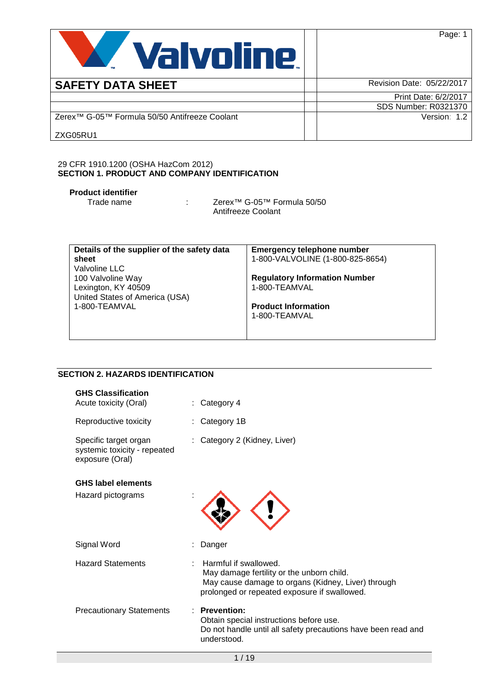

**SAFETY DATA SHEET** Revision Date: 05/22/2017 Print Date: 6/2/2017 SDS Number: R0321370 Zerex™ G-05™ Formula 50/50 Antifreeze Coolant ZXG05RU1 Version: 1.2

Page: 1

#### 29 CFR 1910.1200 (OSHA HazCom 2012) **SECTION 1. PRODUCT AND COMPANY IDENTIFICATION**

# **Product identifier**

: Zerex<sup>™</sup> G-05™ Formula 50/50 Antifreeze Coolant

| Details of the supplier of the safety data | <b>Emergency telephone number</b>    |
|--------------------------------------------|--------------------------------------|
| sheet                                      | 1-800-VALVOLINE (1-800-825-8654)     |
| Valvoline LLC                              |                                      |
| 100 Valvoline Way                          | <b>Regulatory Information Number</b> |
| Lexington, KY 40509                        | 1-800-TEAMVAL                        |
| United States of America (USA)             |                                      |
| 1-800-TEAMVAL                              | <b>Product Information</b>           |
|                                            | 1-800-TEAMVAL                        |
|                                            |                                      |
|                                            |                                      |

# **SECTION 2. HAZARDS IDENTIFICATION**

| <b>GHS Classification</b><br>Acute toxicity (Oral)                       | Category 4                                                                                                                                                               |
|--------------------------------------------------------------------------|--------------------------------------------------------------------------------------------------------------------------------------------------------------------------|
| Reproductive toxicity                                                    | : Category 1B                                                                                                                                                            |
| Specific target organ<br>systemic toxicity - repeated<br>exposure (Oral) | : Category 2 (Kidney, Liver)                                                                                                                                             |
| <b>GHS label elements</b>                                                |                                                                                                                                                                          |
| Hazard pictograms                                                        |                                                                                                                                                                          |
| Signal Word                                                              | Danger                                                                                                                                                                   |
| <b>Hazard Statements</b>                                                 | Harmful if swallowed.<br>May damage fertility or the unborn child.<br>May cause damage to organs (Kidney, Liver) through<br>prolonged or repeated exposure if swallowed. |
| <b>Precautionary Statements</b>                                          | : Prevention:<br>Obtain special instructions before use.<br>Do not handle until all safety precautions have been read and<br>understood.                                 |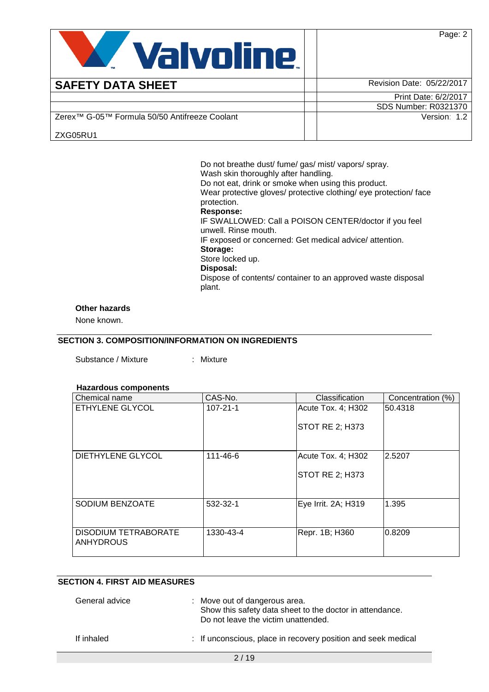Page: 2



| <b>SAFETY DATA SHEET</b>                                  | Revision Date: 05/22/2017 |
|-----------------------------------------------------------|---------------------------|
|                                                           | Print Date: 6/2/2017      |
|                                                           | SDS Number: R0321370      |
| Zerex <sup>™</sup> G-05™ Formula 50/50 Antifreeze Coolant | Version: 1.2              |
| ZXG05RU1                                                  |                           |

Do not breathe dust/ fume/ gas/ mist/ vapors/ spray. Wash skin thoroughly after handling. Do not eat, drink or smoke when using this product. Wear protective gloves/ protective clothing/ eye protection/ face protection. **Response:**  IF SWALLOWED: Call a POISON CENTER/doctor if you feel unwell. Rinse mouth. IF exposed or concerned: Get medical advice/ attention. **Storage:**  Store locked up. **Disposal:**  Dispose of contents/ container to an approved waste disposal plant.

#### **Other hazards**

None known.

### **SECTION 3. COMPOSITION/INFORMATION ON INGREDIENTS**

Substance / Mixture : Mixture

#### **Hazardous components**

| Chemical name                                   | CAS-No.        | Classification         | Concentration (%) |
|-------------------------------------------------|----------------|------------------------|-------------------|
| ETHYLENE GLYCOL                                 | $107 - 21 - 1$ | Acute Tox. 4; H302     | 50.4318           |
|                                                 |                | STOT RE 2; H373        |                   |
| DIETHYLENE GLYCOL                               | $111 - 46 - 6$ | Acute Tox. 4; H302     | 2.5207            |
|                                                 |                | <b>STOT RE 2; H373</b> |                   |
| SODIUM BENZOATE                                 | 532-32-1       | Eye Irrit. 2A; H319    | 1.395             |
| <b>DISODIUM TETRABORATE</b><br><b>ANHYDROUS</b> | 1330-43-4      | Repr. 1B; H360         | 0.8209            |

# **SECTION 4. FIRST AID MEASURES**

| General advice | : Move out of dangerous area.<br>Show this safety data sheet to the doctor in attendance.<br>Do not leave the victim unattended. |
|----------------|----------------------------------------------------------------------------------------------------------------------------------|
| If inhaled     | : If unconscious, place in recovery position and seek medical                                                                    |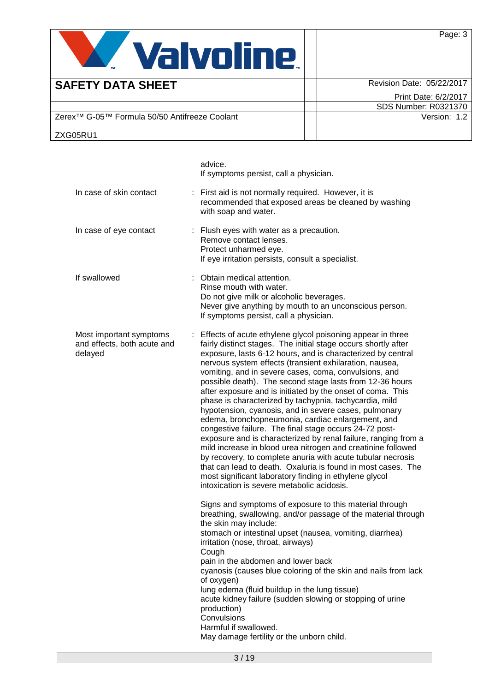

ZXG05RU1

Print Date: 6/2/2017 SDS Number: R0321370

Zerex™ G-05™ Formula 50/50 Antifreeze Coolant Version: 1.2

|                                                                   | advice.<br>If symptoms persist, call a physician.                                                                                                                                                                                                                                                                                                                                                                                                                                                                                                                                                                                                                                                                                                                                                                                                                                                                                                                                                                                                      |
|-------------------------------------------------------------------|--------------------------------------------------------------------------------------------------------------------------------------------------------------------------------------------------------------------------------------------------------------------------------------------------------------------------------------------------------------------------------------------------------------------------------------------------------------------------------------------------------------------------------------------------------------------------------------------------------------------------------------------------------------------------------------------------------------------------------------------------------------------------------------------------------------------------------------------------------------------------------------------------------------------------------------------------------------------------------------------------------------------------------------------------------|
| In case of skin contact                                           | : First aid is not normally required. However, it is<br>recommended that exposed areas be cleaned by washing<br>with soap and water.                                                                                                                                                                                                                                                                                                                                                                                                                                                                                                                                                                                                                                                                                                                                                                                                                                                                                                                   |
| In case of eye contact                                            | : Flush eyes with water as a precaution.<br>Remove contact lenses.<br>Protect unharmed eye.<br>If eye irritation persists, consult a specialist.                                                                                                                                                                                                                                                                                                                                                                                                                                                                                                                                                                                                                                                                                                                                                                                                                                                                                                       |
| If swallowed                                                      | : Obtain medical attention.<br>Rinse mouth with water.<br>Do not give milk or alcoholic beverages.<br>Never give anything by mouth to an unconscious person.<br>If symptoms persist, call a physician.                                                                                                                                                                                                                                                                                                                                                                                                                                                                                                                                                                                                                                                                                                                                                                                                                                                 |
| Most important symptoms<br>and effects, both acute and<br>delayed | : Effects of acute ethylene glycol poisoning appear in three<br>fairly distinct stages. The initial stage occurs shortly after<br>exposure, lasts 6-12 hours, and is characterized by central<br>nervous system effects (transient exhilaration, nausea,<br>vomiting, and in severe cases, coma, convulsions, and<br>possible death). The second stage lasts from 12-36 hours<br>after exposure and is initiated by the onset of coma. This<br>phase is characterized by tachypnia, tachycardia, mild<br>hypotension, cyanosis, and in severe cases, pulmonary<br>edema, bronchopneumonia, cardiac enlargement, and<br>congestive failure. The final stage occurs 24-72 post-<br>exposure and is characterized by renal failure, ranging from a<br>mild increase in blood urea nitrogen and creatinine followed<br>by recovery, to complete anuria with acute tubular necrosis<br>that can lead to death. Oxaluria is found in most cases. The<br>most significant laboratory finding in ethylene glycol<br>intoxication is severe metabolic acidosis. |
|                                                                   | Signs and symptoms of exposure to this material through<br>breathing, swallowing, and/or passage of the material through<br>the skin may include:<br>stomach or intestinal upset (nausea, vomiting, diarrhea)<br>irritation (nose, throat, airways)<br>Cough                                                                                                                                                                                                                                                                                                                                                                                                                                                                                                                                                                                                                                                                                                                                                                                           |
|                                                                   | pain in the abdomen and lower back<br>cyanosis (causes blue coloring of the skin and nails from lack<br>of oxygen)<br>lung edema (fluid buildup in the lung tissue)<br>acute kidney failure (sudden slowing or stopping of urine<br>production)<br>Convulsions<br>Harmful if swallowed.                                                                                                                                                                                                                                                                                                                                                                                                                                                                                                                                                                                                                                                                                                                                                                |

May damage fertility or the unborn child.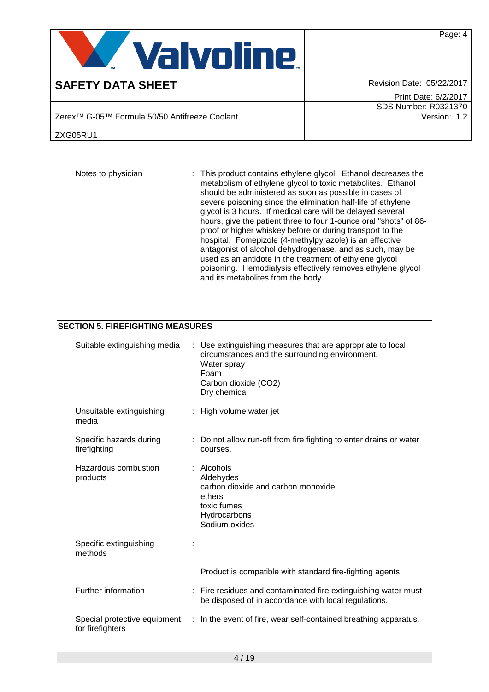Page: 4



# **SAFETY DATA SHEET Revision Date: 05/22/2017**

Print Date: 6/2/2017 SDS Number: R0321370 Version: 1.2

Zerex™ G-05™ Formula 50/50 Antifreeze Coolant

ZXG05RU1

Notes to physician : This product contains ethylene glycol. Ethanol decreases the metabolism of ethylene glycol to toxic metabolites. Ethanol should be administered as soon as possible in cases of severe poisoning since the elimination half-life of ethylene glycol is 3 hours. If medical care will be delayed several hours, give the patient three to four 1-ounce oral "shots" of 86 proof or higher whiskey before or during transport to the hospital. Fomepizole (4-methylpyrazole) is an effective antagonist of alcohol dehydrogenase, and as such, may be used as an antidote in the treatment of ethylene glycol poisoning. Hemodialysis effectively removes ethylene glycol and its metabolites from the body.

# **SECTION 5. FIREFIGHTING MEASURES**

| Suitable extinguishing media            | : Use extinguishing measures that are appropriate to local<br>circumstances and the surrounding environment.<br>Water spray<br>Foam<br>Carbon dioxide (CO2)<br>Dry chemical |
|-----------------------------------------|-----------------------------------------------------------------------------------------------------------------------------------------------------------------------------|
| Unsuitable extinguishing<br>media       | : High volume water jet                                                                                                                                                     |
| Specific hazards during<br>firefighting | : Do not allow run-off from fire fighting to enter drains or water<br>courses.                                                                                              |
| Hazardous combustion<br>products        | : Alcohols<br>Aldehydes<br>carbon dioxide and carbon monoxide<br>ethers<br>toxic fumes<br>Hydrocarbons<br>Sodium oxides                                                     |
| Specific extinguishing<br>methods       |                                                                                                                                                                             |
|                                         | Product is compatible with standard fire-fighting agents.                                                                                                                   |
| Further information                     | : Fire residues and contaminated fire extinguishing water must<br>be disposed of in accordance with local regulations.                                                      |
| for firefighters                        | Special protective equipment : In the event of fire, wear self-contained breathing apparatus.                                                                               |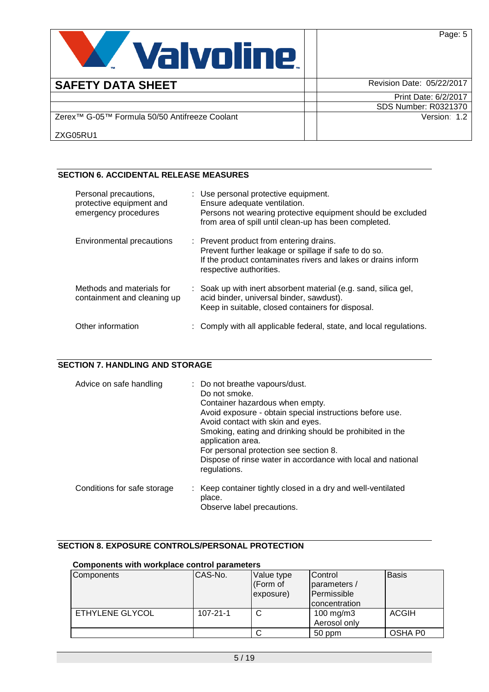

| <b>SAFETY DATA SHEET</b>                                  | Revision Date: 05/22/2017   |
|-----------------------------------------------------------|-----------------------------|
|                                                           | Print Date: 6/2/2017        |
|                                                           | <b>SDS Number: R0321370</b> |
| Zerex <sup>™</sup> G-05™ Formula 50/50 Antifreeze Coolant | Version: 1.2                |
| ZXG05RU1                                                  |                             |

# **SECTION 6. ACCIDENTAL RELEASE MEASURES**

| Personal precautions,<br>protective equipment and<br>emergency procedures | : Use personal protective equipment.<br>Ensure adequate ventilation.<br>Persons not wearing protective equipment should be excluded<br>from area of spill until clean-up has been completed. |
|---------------------------------------------------------------------------|----------------------------------------------------------------------------------------------------------------------------------------------------------------------------------------------|
| <b>Environmental precautions</b>                                          | : Prevent product from entering drains.<br>Prevent further leakage or spillage if safe to do so.<br>If the product contaminates rivers and lakes or drains inform<br>respective authorities. |
| Methods and materials for<br>containment and cleaning up                  | : Soak up with inert absorbent material (e.g. sand, silica gel,<br>acid binder, universal binder, sawdust).<br>Keep in suitable, closed containers for disposal.                             |
| Other information                                                         | : Comply with all applicable federal, state, and local regulations.                                                                                                                          |

# **SECTION 7. HANDLING AND STORAGE**

| Advice on safe handling     | : Do not breathe vapours/dust.<br>Do not smoke.<br>Container hazardous when empty.<br>Avoid exposure - obtain special instructions before use.<br>Avoid contact with skin and eyes.<br>Smoking, eating and drinking should be prohibited in the<br>application area.<br>For personal protection see section 8.<br>Dispose of rinse water in accordance with local and national<br>regulations. |
|-----------------------------|------------------------------------------------------------------------------------------------------------------------------------------------------------------------------------------------------------------------------------------------------------------------------------------------------------------------------------------------------------------------------------------------|
| Conditions for safe storage | : Keep container tightly closed in a dry and well-ventilated<br>place.<br>Observe label precautions.                                                                                                                                                                                                                                                                                           |

# **SECTION 8. EXPOSURE CONTROLS/PERSONAL PROTECTION**

#### **Components with workplace control parameters**

| Components      | CAS-No.        | Value type | <b>Control</b> | <b>Basis</b> |
|-----------------|----------------|------------|----------------|--------------|
|                 |                | (Form of   | parameters /   |              |
|                 |                | exposure)  | Permissible    |              |
|                 |                |            | concentration  |              |
| ETHYLENE GLYCOL | $107 - 21 - 1$ | C          | 100 mg/m $3$   | <b>ACGIH</b> |
|                 |                |            | Aerosol only   |              |
|                 |                |            | 50 ppm         | OSHA P0      |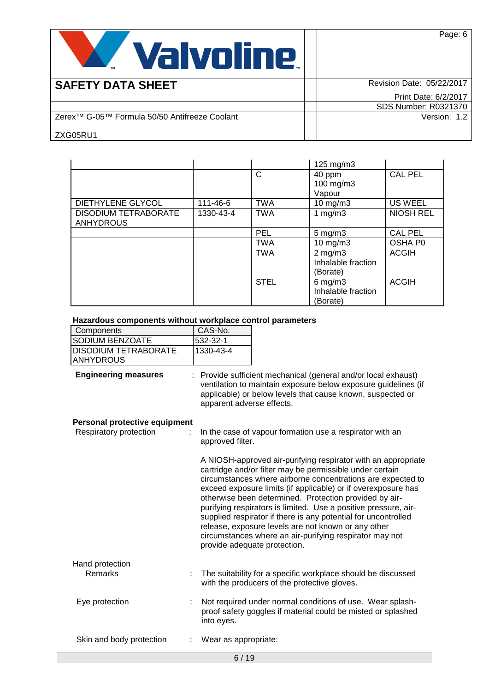

| <b>SAFETY DATA SHEET</b>                                  | Revision Date: 05/22/2017 |
|-----------------------------------------------------------|---------------------------|
|                                                           | Print Date: 6/2/2017      |
|                                                           | SDS Number: R0321370      |
| Zerex <sup>™</sup> G-05™ Formula 50/50 Antifreeze Coolant | Version: 1.2              |
| ZXG05RU1                                                  |                           |

|                             |           |             | $125 \text{ mg/m}$ 3 |                  |
|-----------------------------|-----------|-------------|----------------------|------------------|
|                             |           | C           | 40 ppm               | <b>CAL PEL</b>   |
|                             |           |             | 100 mg/m $3$         |                  |
|                             |           |             | Vapour               |                  |
| DIETHYLENE GLYCOL           | 111-46-6  | <b>TWA</b>  | $10$ mg/m $3$        | <b>US WEEL</b>   |
| <b>DISODIUM TETRABORATE</b> | 1330-43-4 | <b>TWA</b>  | 1 $mg/m3$            | <b>NIOSH REL</b> |
| <b>ANHYDROUS</b>            |           |             |                      |                  |
|                             |           | PEL         | $5 \text{ mg/m}$ 3   | <b>CAL PEL</b>   |
|                             |           | <b>TWA</b>  | $10$ mg/m $3$        | OSHA P0          |
|                             |           | <b>TWA</b>  | $2$ mg/m $3$         | <b>ACGIH</b>     |
|                             |           |             | Inhalable fraction   |                  |
|                             |           |             | (Borate)             |                  |
|                             |           | <b>STEL</b> | $6$ mg/m $3$         | <b>ACGIH</b>     |
|                             |           |             | Inhalable fraction   |                  |
|                             |           |             | (Borate)             |                  |

#### **Hazardous components without workplace control parameters**

| Components              | CAS-No.   |
|-------------------------|-----------|
| <b>ISODIUM BENZOATE</b> | 1532-32-1 |
| IDISODIUM TETRABORATE   | 1330-43-4 |
| <b>IANHYDROUS</b>       |           |

**Engineering measures** : Provide sufficient mechanical (general and/or local exhaust) ventilation to maintain exposure below exposure guidelines (if applicable) or below levels that cause known, suspected or apparent adverse effects.

#### **Personal protective equipment**

| . 0.00a. p.0.00vo 0quipo<br>Respiratory protection | In the case of vapour formation use a respirator with an<br>approved filter.                                                                                                                                                                                                                                                                                                                                                                                                                                                                                                                               |
|----------------------------------------------------|------------------------------------------------------------------------------------------------------------------------------------------------------------------------------------------------------------------------------------------------------------------------------------------------------------------------------------------------------------------------------------------------------------------------------------------------------------------------------------------------------------------------------------------------------------------------------------------------------------|
|                                                    | A NIOSH-approved air-purifying respirator with an appropriate<br>cartridge and/or filter may be permissible under certain<br>circumstances where airborne concentrations are expected to<br>exceed exposure limits (if applicable) or if overexposure has<br>otherwise been determined. Protection provided by air-<br>purifying respirators is limited. Use a positive pressure, air-<br>supplied respirator if there is any potential for uncontrolled<br>release, exposure levels are not known or any other<br>circumstances where an air-purifying respirator may not<br>provide adequate protection. |
| Hand protection<br><b>Remarks</b>                  | The suitability for a specific workplace should be discussed<br>with the producers of the protective gloves.                                                                                                                                                                                                                                                                                                                                                                                                                                                                                               |
| Eye protection                                     | Not required under normal conditions of use. Wear splash-<br>proof safety goggles if material could be misted or splashed<br>into eyes.                                                                                                                                                                                                                                                                                                                                                                                                                                                                    |
| Skin and body protection                           | Wear as appropriate:                                                                                                                                                                                                                                                                                                                                                                                                                                                                                                                                                                                       |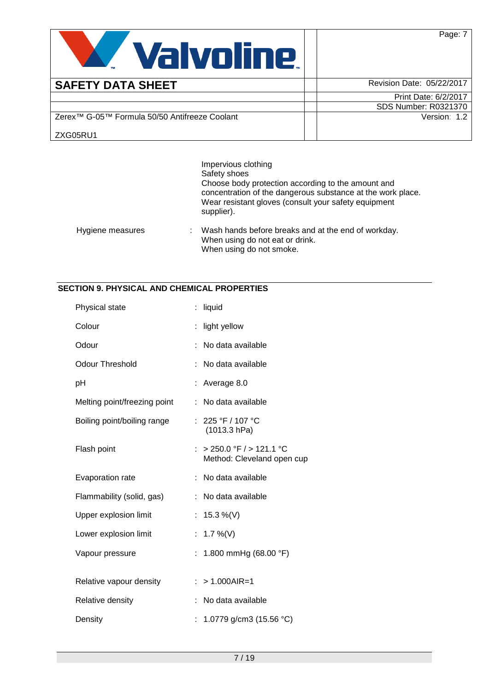

**SAFETY DATA SHEET** Revision Date: 05/22/2017

|                                                           | Print Date: 6/2/2017        |
|-----------------------------------------------------------|-----------------------------|
|                                                           | <b>SDS Number: R0321370</b> |
| Zerex <sup>™</sup> G-05™ Formula 50/50 Antifreeze Coolant | Version:                    |

ZXG05RU1

|                  |   | Impervious clothing<br>Safety shoes<br>Choose body protection according to the amount and<br>concentration of the dangerous substance at the work place.<br>Wear resistant gloves (consult your safety equipment<br>supplier). |
|------------------|---|--------------------------------------------------------------------------------------------------------------------------------------------------------------------------------------------------------------------------------|
| Hygiene measures | ÷ | Wash hands before breaks and at the end of workday.<br>When using do not eat or drink.<br>When using do not smoke.                                                                                                             |

# **SECTION 9. PHYSICAL AND CHEMICAL PROPERTIES**

| Physical state               | ÷  | liquid                                                |
|------------------------------|----|-------------------------------------------------------|
| Colour                       |    | light yellow                                          |
| Odour                        |    | No data available                                     |
| <b>Odour Threshold</b>       | ÷  | No data available                                     |
| рH                           |    | Average 8.0                                           |
| Melting point/freezing point | ÷. | No data available                                     |
| Boiling point/boiling range  |    | : 225 °F / 107 °C<br>(1013.3 hPa)                     |
| Flash point                  |    | > 250.0 °F / > 121.1 °C<br>Method: Cleveland open cup |
| Evaporation rate             | ÷  | No data available                                     |
| Flammability (solid, gas)    |    | No data available                                     |
| Upper explosion limit        | t. | 15.3 %(V)                                             |
| Lower explosion limit        | t. | 1.7 %(V)                                              |
| Vapour pressure              |    | 1.800 mmHg (68.00 °F)                                 |
| Relative vapour density      |    | $> 1.000$ AIR=1                                       |
| Relative density             |    | No data available                                     |
| Density                      |    |                                                       |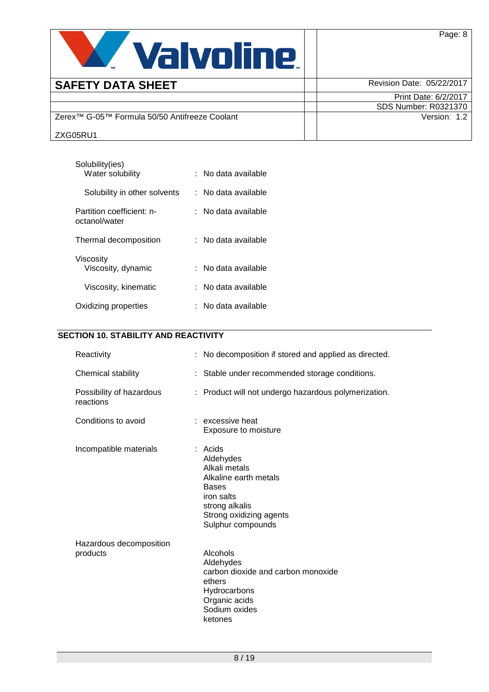

| <b>SAFETY DATA SHEET</b>                                  | Revision Date: 05/22/2017   |
|-----------------------------------------------------------|-----------------------------|
|                                                           | Print Date: 6/2/2017        |
|                                                           | <b>SDS Number: R0321370</b> |
| Zerex <sup>™</sup> G-05™ Formula 50/50 Antifreeze Coolant | Version: 1.2                |
| ZXG05RU1                                                  |                             |

Page: 8

| Solubility(ies)<br>Water solubility        | ∶   No data available |
|--------------------------------------------|-----------------------|
| Solubility in other solvents               | No data available     |
| Partition coefficient: n-<br>octanol/water | ∶   No data available |
| Thermal decomposition                      | ∶   No data available |
| Viscosity<br>Viscosity, dynamic            | No data available     |
| Viscosity, kinematic                       | ∶   No data available |
| Oxidizing properties                       | No data available     |

# **SECTION 10. STABILITY AND REACTIVITY**

| Reactivity                            | No decomposition if stored and applied as directed.                                                                                                          |  |
|---------------------------------------|--------------------------------------------------------------------------------------------------------------------------------------------------------------|--|
| Chemical stability                    | : Stable under recommended storage conditions.                                                                                                               |  |
| Possibility of hazardous<br>reactions | : Product will not undergo hazardous polymerization.                                                                                                         |  |
| Conditions to avoid                   | : excessive heat<br>Exposure to moisture                                                                                                                     |  |
| Incompatible materials                | Acids<br>Aldehydes<br>Alkali metals<br>Alkaline earth metals<br><b>Bases</b><br>iron salts<br>strong alkalis<br>Strong oxidizing agents<br>Sulphur compounds |  |
| Hazardous decomposition<br>products   | Alcohols<br>Aldehydes<br>carbon dioxide and carbon monoxide<br>ethers<br>Hydrocarbons<br>Organic acids<br>Sodium oxides<br>ketones                           |  |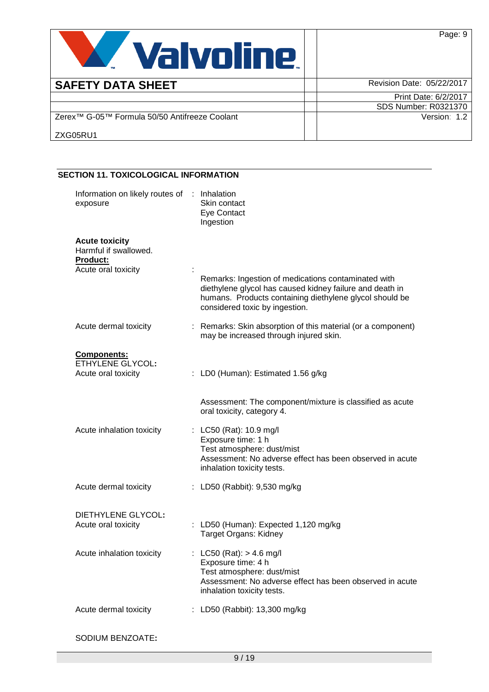| <b>Valvoline.</b>                                         | Page: 9                     |
|-----------------------------------------------------------|-----------------------------|
| <b>SAFETY DATA SHEET</b>                                  | Revision Date: 05/22/2017   |
|                                                           | Print Date: 6/2/2017        |
|                                                           | <b>SDS Number: R0321370</b> |
| Zerex <sup>™</sup> G-05™ Formula 50/50 Antifreeze Coolant | Version: 1.2                |
| ZXG05RU1                                                  |                             |

| Information on likely routes of | Inhalation                                                                                                                                                                                                   |
|---------------------------------|--------------------------------------------------------------------------------------------------------------------------------------------------------------------------------------------------------------|
| exposure                        | Skin contact                                                                                                                                                                                                 |
|                                 | Eye Contact                                                                                                                                                                                                  |
|                                 | Ingestion                                                                                                                                                                                                    |
| <b>Acute toxicity</b>           |                                                                                                                                                                                                              |
| Harmful if swallowed.           |                                                                                                                                                                                                              |
| <b>Product:</b>                 |                                                                                                                                                                                                              |
| Acute oral toxicity             |                                                                                                                                                                                                              |
|                                 | Remarks: Ingestion of medications contaminated with<br>diethylene glycol has caused kidney failure and death in<br>humans. Products containing diethylene glycol should be<br>considered toxic by ingestion. |
| Acute dermal toxicity           | : Remarks: Skin absorption of this material (or a component)<br>may be increased through injured skin.                                                                                                       |
| <b>Components:</b>              |                                                                                                                                                                                                              |
| <b>ETHYLENE GLYCOL:</b>         |                                                                                                                                                                                                              |
| Acute oral toxicity             | : LD0 (Human): Estimated 1.56 g/kg                                                                                                                                                                           |
|                                 |                                                                                                                                                                                                              |
|                                 | Assessment: The component/mixture is classified as acute<br>oral toxicity, category 4.                                                                                                                       |
| Acute inhalation toxicity       | LC50 (Rat): 10.9 mg/l                                                                                                                                                                                        |
|                                 | Exposure time: 1 h                                                                                                                                                                                           |
|                                 | Test atmosphere: dust/mist                                                                                                                                                                                   |
|                                 | Assessment: No adverse effect has been observed in acute<br>inhalation toxicity tests.                                                                                                                       |
| Acute dermal toxicity           | : LD50 (Rabbit): 9,530 mg/kg                                                                                                                                                                                 |
|                                 |                                                                                                                                                                                                              |
| DIETHYLENE GLYCOL:              | : LD50 (Human): Expected 1,120 mg/kg                                                                                                                                                                         |
| Acute oral toxicity             | Target Organs: Kidney                                                                                                                                                                                        |
| Acute inhalation toxicity       | $LC50$ (Rat): > 4.6 mg/l                                                                                                                                                                                     |
|                                 | Exposure time: 4 h                                                                                                                                                                                           |
|                                 | Test atmosphere: dust/mist                                                                                                                                                                                   |
|                                 | Assessment: No adverse effect has been observed in acute                                                                                                                                                     |
|                                 | inhalation toxicity tests.                                                                                                                                                                                   |
| Acute dermal toxicity           | : LD50 (Rabbit): 13,300 mg/kg                                                                                                                                                                                |

SODIUM BENZOATE**:**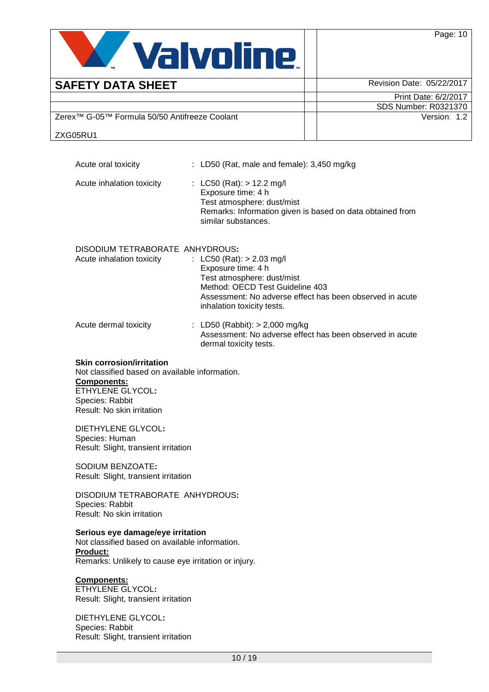

| <b>SAFETY DATA SHEET</b>                                  | Revision Date: 05/22/2017   |
|-----------------------------------------------------------|-----------------------------|
|                                                           | Print Date: 6/2/2017        |
|                                                           | <b>SDS Number: R0321370</b> |
| Zerex <sup>™</sup> G-05™ Formula 50/50 Antifreeze Coolant | Version: 1.2                |
| ZXG05RU1                                                  |                             |

Acute oral toxicity : LD50 (Rat, male and female): 3,450 mg/kg Acute inhalation toxicity : LC50 (Rat): > 12.2 mg/l Exposure time: 4 h Test atmosphere: dust/mist Remarks: Information given is based on data obtained from similar substances. DISODIUM TETRABORATE ANHYDROUS**:** : LC50 (Rat):  $> 2.03$  mg/l Exposure time: 4 h Test atmosphere: dust/mist Method: OECD Test Guideline 403 Assessment: No adverse effect has been observed in acute inhalation toxicity tests. Acute dermal toxicity : LD50 (Rabbit): > 2,000 mg/kg Assessment: No adverse effect has been observed in acute dermal toxicity tests.

#### **Skin corrosion/irritation**

Not classified based on available information. **Components:** ETHYLENE GLYCOL**:** Species: Rabbit Result: No skin irritation

DIETHYLENE GLYCOL**:** Species: Human Result: Slight, transient irritation

SODIUM BENZOATE**:** Result: Slight, transient irritation

DISODIUM TETRABORATE ANHYDROUS**:** Species: Rabbit Result: No skin irritation

#### **Serious eye damage/eye irritation**

Not classified based on available information. **Product:** Remarks: Unlikely to cause eye irritation or injury.

#### **Components:**

ETHYLENE GLYCOL**:** Result: Slight, transient irritation

DIETHYLENE GLYCOL**:** Species: Rabbit Result: Slight, transient irritation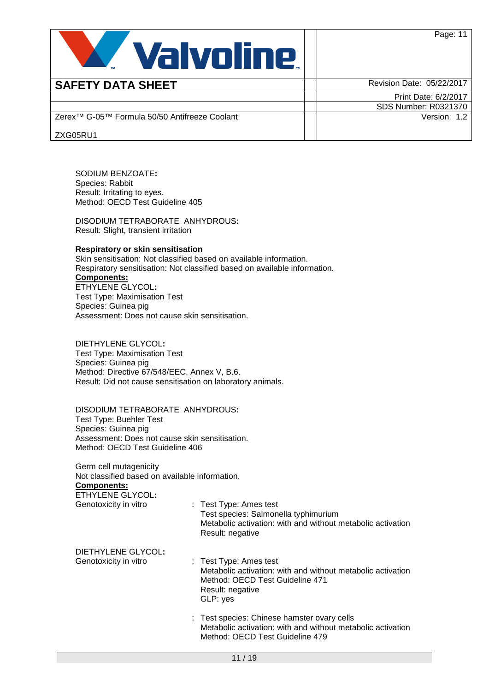

| <b>SAFETY DATA SHEET</b>                                  | Revision Date: 05/22/2017   |
|-----------------------------------------------------------|-----------------------------|
|                                                           | Print Date: 6/2/2017        |
|                                                           | <b>SDS Number: R0321370</b> |
| Zerex <sup>™</sup> G-05™ Formula 50/50 Antifreeze Coolant | Version: 1.2                |
| ZXG05RU1                                                  |                             |

SODIUM BENZOATE**:** Species: Rabbit Result: Irritating to eyes. Method: OECD Test Guideline 405

DISODIUM TETRABORATE ANHYDROUS**:** Result: Slight, transient irritation

### **Respiratory or skin sensitisation**

Skin sensitisation: Not classified based on available information. Respiratory sensitisation: Not classified based on available information. **Components:** ETHYLENE GLYCOL**:** Test Type: Maximisation Test Species: Guinea pig Assessment: Does not cause skin sensitisation.

DIETHYLENE GLYCOL**:** Test Type: Maximisation Test Species: Guinea pig Method: Directive 67/548/EEC, Annex V, B.6. Result: Did not cause sensitisation on laboratory animals.

DISODIUM TETRABORATE ANHYDROUS**:** Test Type: Buehler Test Species: Guinea pig Assessment: Does not cause skin sensitisation. Method: OECD Test Guideline 406

Germ cell mutagenicity Not classified based on available information. **Components:**

ETHYLENE GLYCOL**:**

Genotoxicity in vitro : Test Type: Ames test Test species: Salmonella typhimurium Metabolic activation: with and without metabolic activation Result: negative

DIETHYLENE GLYCOL**:**

- : Test Type: Ames test Metabolic activation: with and without metabolic activation Method: OECD Test Guideline 471 Result: negative GLP: yes
	- : Test species: Chinese hamster ovary cells Metabolic activation: with and without metabolic activation Method: OECD Test Guideline 479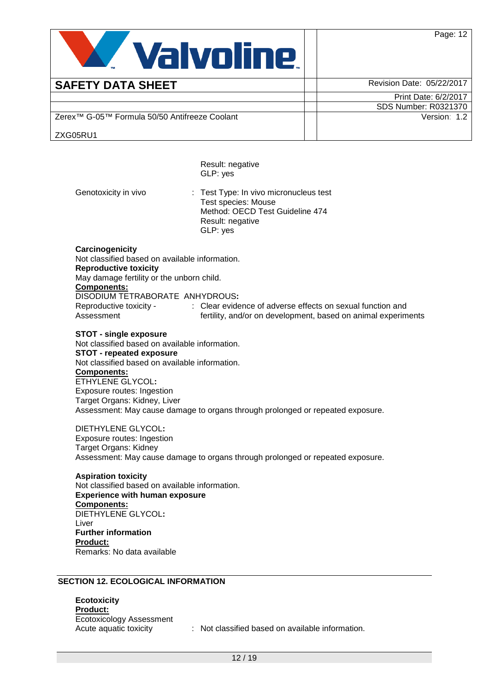

# **SAFETY DATA SHEET Revision Date: 05/22/2017**

Print Date: 6/2/2017 SDS Number: R0321370 Version: 1.2

Zerex™ G-05™ Formula 50/50 Antifreeze Coolant

ZXG05RU1

Result: negative GLP: yes Genotoxicity in vivo : Test Type: In vivo micronucleus test Test species: Mouse Method: OECD Test Guideline 474 Result: negative GLP: yes **Carcinogenicity** Not classified based on available information. **Reproductive toxicity** May damage fertility or the unborn child. **Components:** DISODIUM TETRABORATE ANHYDROUS**:** Reproductive toxicity - Assessment : Clear evidence of adverse effects on sexual function and fertility, and/or on development, based on animal experiments **STOT - single exposure** Not classified based on available information. **STOT - repeated exposure** Not classified based on available information. **Components:** ETHYLENE GLYCOL**:** Exposure routes: Ingestion Target Organs: Kidney, Liver Assessment: May cause damage to organs through prolonged or repeated exposure. DIETHYLENE GLYCOL**:** Exposure routes: Ingestion Target Organs: Kidney Assessment: May cause damage to organs through prolonged or repeated exposure. **Aspiration toxicity** Not classified based on available information. **Experience with human exposure Components:** DIETHYLENE GLYCOL**:** Liver **Further information Product:** Remarks: No data available

# **SECTION 12. ECOLOGICAL INFORMATION**

**Ecotoxicity Product:** Ecotoxicology Assessment

Acute aquatic toxicity : Not classified based on available information.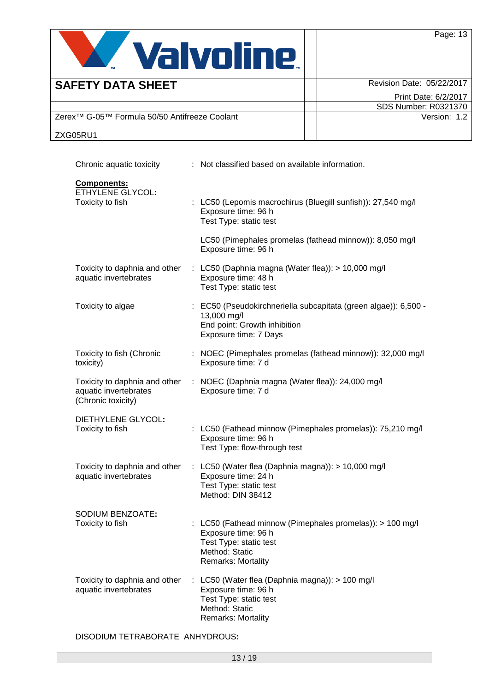

| <b>SAFETY DATA SHEET</b>                                  | Revision Date: 05/22/2017 |
|-----------------------------------------------------------|---------------------------|
|                                                           | Print Date: 6/2/2017      |
|                                                           | SDS Number: R0321370      |
| Zerex <sup>™</sup> G-05™ Formula 50/50 Antifreeze Coolant | Version: 1.2              |
| ZXG05RU1                                                  |                           |

| Chronic aquatic toxicity                                                     | : Not classified based on available information.                                                                                                 |
|------------------------------------------------------------------------------|--------------------------------------------------------------------------------------------------------------------------------------------------|
| Components:<br><b>ETHYLENE GLYCOL:</b><br>Toxicity to fish                   | : LC50 (Lepomis macrochirus (Bluegill sunfish)): 27,540 mg/l<br>Exposure time: 96 h<br>Test Type: static test                                    |
|                                                                              | LC50 (Pimephales promelas (fathead minnow)): 8,050 mg/l<br>Exposure time: 96 h                                                                   |
| Toxicity to daphnia and other<br>aquatic invertebrates                       | : LC50 (Daphnia magna (Water flea)): > 10,000 mg/l<br>Exposure time: 48 h<br>Test Type: static test                                              |
| Toxicity to algae                                                            | : EC50 (Pseudokirchneriella subcapitata (green algae)): 6,500 -<br>13,000 mg/l<br>End point: Growth inhibition<br>Exposure time: 7 Days          |
| Toxicity to fish (Chronic<br>toxicity)                                       | : NOEC (Pimephales promelas (fathead minnow)): 32,000 mg/l<br>Exposure time: 7 d                                                                 |
| Toxicity to daphnia and other<br>aquatic invertebrates<br>(Chronic toxicity) | : NOEC (Daphnia magna (Water flea)): 24,000 mg/l<br>Exposure time: 7 d                                                                           |
| DIETHYLENE GLYCOL:<br>Toxicity to fish                                       | : LC50 (Fathead minnow (Pimephales promelas)): 75,210 mg/l<br>Exposure time: 96 h<br>Test Type: flow-through test                                |
| Toxicity to daphnia and other<br>aquatic invertebrates                       | : LC50 (Water flea (Daphnia magna)): > 10,000 mg/l<br>Exposure time: 24 h<br>Test Type: static test<br>Method: DIN 38412                         |
| SODIUM BENZOATE:<br>Toxicity to fish                                         | LC50 (Fathead minnow (Pimephales promelas)): > 100 mg/l<br>Exposure time: 96 h<br>Test Type: static test<br>Method: Static<br>Remarks: Mortality |
| Toxicity to daphnia and other<br>aquatic invertebrates                       | LC50 (Water flea (Daphnia magna)): > 100 mg/l<br>Exposure time: 96 h<br>Test Type: static test<br>Method: Static<br><b>Remarks: Mortality</b>    |

DISODIUM TETRABORATE ANHYDROUS**:**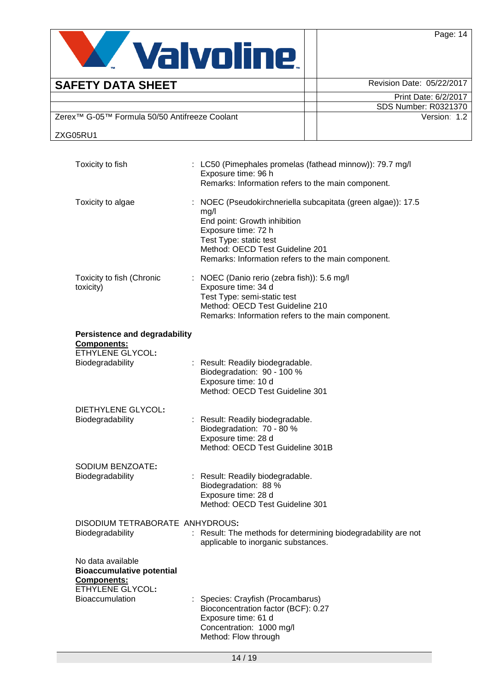

| <b>SAFETY DATA SHEET</b>                                  | Revision Date: 05/22/2017 |
|-----------------------------------------------------------|---------------------------|
|                                                           | Print Date: 6/2/2017      |
|                                                           | SDS Number: R0321370      |
| Zerex <sup>™</sup> G-05™ Formula 50/50 Antifreeze Coolant | Version: 1.2              |
| ZXG05RU1                                                  |                           |

| Toxicity to fish                                                                                | : LC50 (Pimephales promelas (fathead minnow)): 79.7 mg/l<br>Exposure time: 96 h<br>Remarks: Information refers to the main component.                                                                                                          |
|-------------------------------------------------------------------------------------------------|------------------------------------------------------------------------------------------------------------------------------------------------------------------------------------------------------------------------------------------------|
| Toxicity to algae                                                                               | : NOEC (Pseudokirchneriella subcapitata (green algae)): 17.5<br>mg/l<br>End point: Growth inhibition<br>Exposure time: 72 h<br>Test Type: static test<br>Method: OECD Test Guideline 201<br>Remarks: Information refers to the main component. |
| Toxicity to fish (Chronic<br>toxicity)                                                          | : NOEC (Danio rerio (zebra fish)): 5.6 mg/l<br>Exposure time: 34 d<br>Test Type: semi-static test<br>Method: OECD Test Guideline 210<br>Remarks: Information refers to the main component.                                                     |
| <b>Persistence and degradability</b>                                                            |                                                                                                                                                                                                                                                |
| <b>Components:</b><br><b>ETHYLENE GLYCOL:</b>                                                   |                                                                                                                                                                                                                                                |
| Biodegradability                                                                                | : Result: Readily biodegradable.<br>Biodegradation: 90 - 100 %<br>Exposure time: 10 d<br>Method: OECD Test Guideline 301                                                                                                                       |
| DIETHYLENE GLYCOL:<br>Biodegradability                                                          | : Result: Readily biodegradable.<br>Biodegradation: 70 - 80 %<br>Exposure time: 28 d<br>Method: OECD Test Guideline 301B                                                                                                                       |
| SODIUM BENZOATE:<br>Biodegradability                                                            | Result: Readily biodegradable.<br>Biodegradation: 88 %<br>Exposure time: 28 d<br>Method: OECD Test Guideline 301                                                                                                                               |
| DISODIUM TETRABORATE ANHYDROUS:<br>Biodegradability                                             | : Result: The methods for determining biodegradability are not<br>applicable to inorganic substances.                                                                                                                                          |
| No data available<br><b>Bioaccumulative potential</b><br>Components:<br><b>ETHYLENE GLYCOL:</b> |                                                                                                                                                                                                                                                |
| Bioaccumulation                                                                                 | : Species: Crayfish (Procambarus)<br>Bioconcentration factor (BCF): 0.27<br>Exposure time: 61 d<br>Concentration: 1000 mg/l<br>Method: Flow through                                                                                            |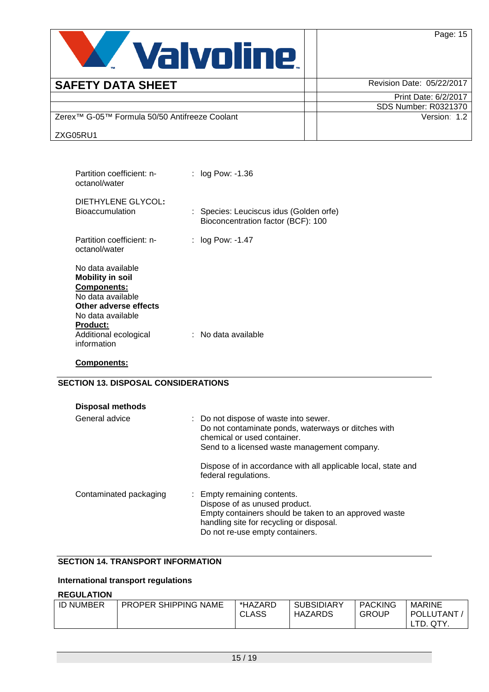

| <b>SAFETY DATA SHEET</b>                                  | Revision Date: 05/22/2017 |
|-----------------------------------------------------------|---------------------------|
|                                                           | Print Date: 6/2/2017      |
|                                                           | SDS Number: R0321370      |
| Zerex <sup>™</sup> G-05™ Formula 50/50 Antifreeze Coolant | Version: 1.2              |
| ZXG05RU1                                                  |                           |

| Partition coefficient: n-<br>octanol/water                                                                                                                                                | : log Pow: -1.36                                                            |
|-------------------------------------------------------------------------------------------------------------------------------------------------------------------------------------------|-----------------------------------------------------------------------------|
| DIETHYLENE GLYCOL:<br><b>Bioaccumulation</b>                                                                                                                                              | Species: Leuciscus idus (Golden orfe)<br>Bioconcentration factor (BCF): 100 |
| Partition coefficient: n-<br>octanol/water                                                                                                                                                | : $log Pow: -1.47$                                                          |
| No data available<br><b>Mobility in soil</b><br>Components:<br>No data available<br>Other adverse effects<br>No data available<br><b>Product:</b><br>Additional ecological<br>information | : No data available                                                         |

#### **Components:**

## **SECTION 13. DISPOSAL CONSIDERATIONS**

| <b>Disposal methods</b> |                                                                                                                                                                                                      |
|-------------------------|------------------------------------------------------------------------------------------------------------------------------------------------------------------------------------------------------|
| General advice          | : Do not dispose of waste into sewer.<br>Do not contaminate ponds, waterways or ditches with<br>chemical or used container.<br>Send to a licensed waste management company.                          |
|                         | Dispose of in accordance with all applicable local, state and<br>federal regulations.                                                                                                                |
| Contaminated packaging  | : Empty remaining contents.<br>Dispose of as unused product.<br>Empty containers should be taken to an approved waste<br>handling site for recycling or disposal.<br>Do not re-use empty containers. |

### **SECTION 14. TRANSPORT INFORMATION**

# **International transport regulations**

# **REGULATION**

| <b>PACKING</b><br><b>SUBSIDIARY</b><br><b>PROPER SHIPPING NAME</b><br><b>ID NUMBER</b><br><b>MARINE</b><br>*HAZARD<br><b>CLASS</b><br>POLLUTANT<br><b>GROUP</b><br>HAZARDS<br>QTY.<br>LTD. |
|--------------------------------------------------------------------------------------------------------------------------------------------------------------------------------------------|
|                                                                                                                                                                                            |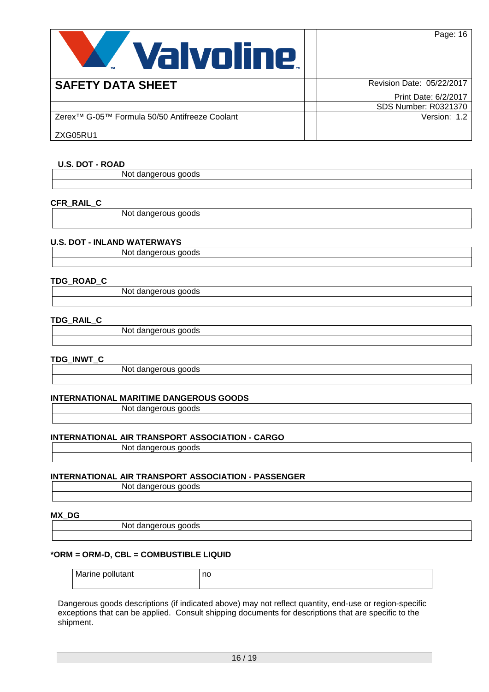

| <b>SAFETY DATA SHEET</b>                                  | Revision Date: 05/22/2017 |
|-----------------------------------------------------------|---------------------------|
|                                                           | Print Date: 6/2/2017      |
|                                                           | SDS Number: R0321370      |
| Zerex <sup>™</sup> G-05™ Formula 50/50 Antifreeze Coolant | Version: 1.2              |
| ZXG05RU1                                                  |                           |

### **U.S. DOT - ROAD**

Not dangerous goods

#### **CFR\_RAIL\_C**

Not dangerous goods

### **U.S. DOT - INLAND WATERWAYS**

Not dangerous goods

#### **TDG\_ROAD\_C**

Not dangerous goods

#### **TDG\_RAIL\_C**

Not dangerous goods

#### **TDG\_INWT\_C**

Not dangerous goods

#### **INTERNATIONAL MARITIME DANGEROUS GOODS**

Not dangerous goods

#### **INTERNATIONAL AIR TRANSPORT ASSOCIATION - CARGO**

Not dangerous goods

#### **INTERNATIONAL AIR TRANSPORT ASSOCIATION - PASSENGER**

Not dangerous goods

#### **MX\_DG**

Not dangerous goods

#### **\*ORM = ORM-D, CBL = COMBUSTIBLE LIQUID**

| Marine pollutant | no |
|------------------|----|
|                  |    |

Dangerous goods descriptions (if indicated above) may not reflect quantity, end-use or region-specific exceptions that can be applied. Consult shipping documents for descriptions that are specific to the shipment.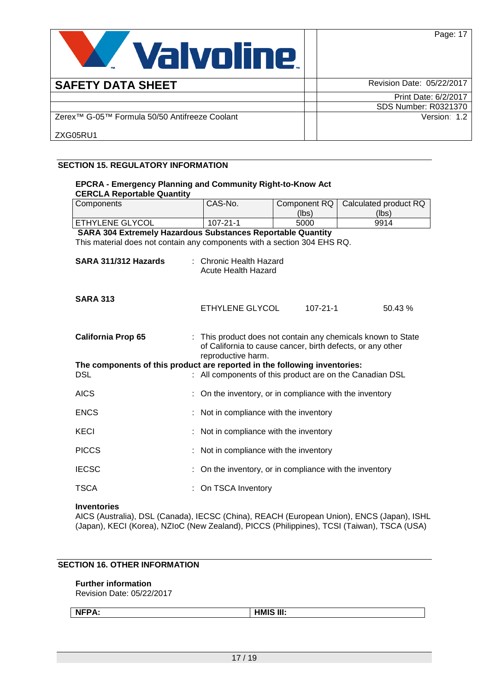

| <b>SAFETY DATA SHEET</b>                                  | Revision Date: 05/22/2017   |
|-----------------------------------------------------------|-----------------------------|
|                                                           | Print Date: 6/2/2017        |
|                                                           | <b>SDS Number: R0321370</b> |
| Zerex <sup>™</sup> G-05™ Formula 50/50 Antifreeze Coolant | Version: 1.2                |
| ZXG05RU1                                                  |                             |

#### **SECTION 15. REGULATORY INFORMATION**

| <b>EPCRA - Emergency Planning and Community Right-to-Know Act</b><br><b>CERCLA Reportable Quantity</b> |    |                                                                                                                                                |                |                       |  |  |  |
|--------------------------------------------------------------------------------------------------------|----|------------------------------------------------------------------------------------------------------------------------------------------------|----------------|-----------------------|--|--|--|
| Components                                                                                             |    | CAS-No.                                                                                                                                        | Component RQ   | Calculated product RQ |  |  |  |
|                                                                                                        |    |                                                                                                                                                | (lbs)          | (lbs)                 |  |  |  |
| ETHYLENE GLYCOL                                                                                        |    | $107 - 21 - 1$                                                                                                                                 | 5000           | 9914                  |  |  |  |
| SARA 304 Extremely Hazardous Substances Reportable Quantity                                            |    |                                                                                                                                                |                |                       |  |  |  |
| This material does not contain any components with a section 304 EHS RQ.                               |    |                                                                                                                                                |                |                       |  |  |  |
| SARA 311/312 Hazards                                                                                   |    | : Chronic Health Hazard<br>Acute Health Hazard                                                                                                 |                |                       |  |  |  |
| <b>SARA 313</b>                                                                                        |    | ETHYLENE GLYCOL                                                                                                                                | $107 - 21 - 1$ | 50.43%                |  |  |  |
| <b>California Prop 65</b>                                                                              |    | This product does not contain any chemicals known to State<br>of California to cause cancer, birth defects, or any other<br>reproductive harm. |                |                       |  |  |  |
| The components of this product are reported in the following inventories:                              |    |                                                                                                                                                |                |                       |  |  |  |
| <b>DSL</b>                                                                                             |    | All components of this product are on the Canadian DSL                                                                                         |                |                       |  |  |  |
| <b>AICS</b>                                                                                            |    | On the inventory, or in compliance with the inventory                                                                                          |                |                       |  |  |  |
| <b>ENCS</b>                                                                                            |    | Not in compliance with the inventory                                                                                                           |                |                       |  |  |  |
| KECI                                                                                                   |    | Not in compliance with the inventory                                                                                                           |                |                       |  |  |  |
| <b>PICCS</b>                                                                                           |    | Not in compliance with the inventory                                                                                                           |                |                       |  |  |  |
| <b>IECSC</b>                                                                                           | ÷. | On the inventory, or in compliance with the inventory                                                                                          |                |                       |  |  |  |
| TSCA                                                                                                   |    | On TSCA Inventory                                                                                                                              |                |                       |  |  |  |

#### **Inventories**

AICS (Australia), DSL (Canada), IECSC (China), REACH (European Union), ENCS (Japan), ISHL (Japan), KECI (Korea), NZIoC (New Zealand), PICCS (Philippines), TCSI (Taiwan), TSCA (USA)

# **SECTION 16. OTHER INFORMATION**

#### **Further information**

Revision Date: 05/22/2017

**NFPA: HMIS III:**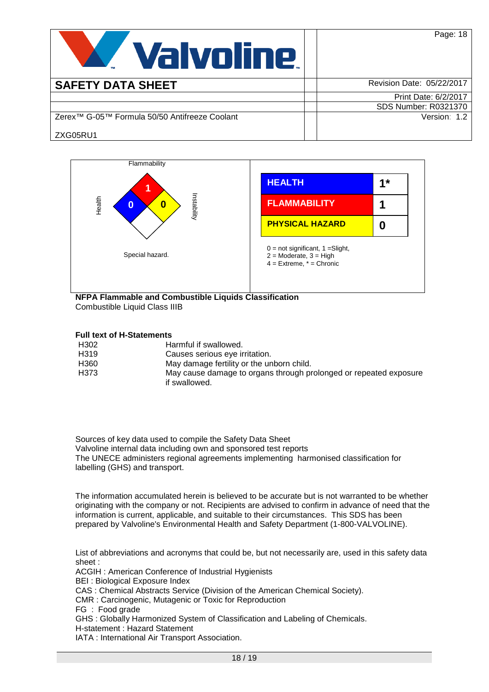| <b>Valvoline</b>                                          | Page: 18                  |
|-----------------------------------------------------------|---------------------------|
| <b>SAFETY DATA SHEET</b>                                  | Revision Date: 05/22/2017 |
|                                                           | Print Date: 6/2/2017      |
|                                                           | SDS Number: R0321370      |
| Zerex <sup>™</sup> G-05™ Formula 50/50 Antifreeze Coolant | Version: 1.2              |
| ZXG05RU1                                                  |                           |



#### **NFPA Flammable and Combustible Liquids Classification** Combustible Liquid Class IIIB

### **Full text of H-Statements**

| H <sub>302</sub>  | Harmful if swallowed.                                             |
|-------------------|-------------------------------------------------------------------|
| H <sub>319</sub>  | Causes serious eye irritation.                                    |
| H360              | May damage fertility or the unborn child.                         |
| H <sub>3</sub> 73 | May cause damage to organs through prolonged or repeated exposure |
|                   | if swallowed.                                                     |

Sources of key data used to compile the Safety Data Sheet Valvoline internal data including own and sponsored test reports The UNECE administers regional agreements implementing harmonised classification for labelling (GHS) and transport.

The information accumulated herein is believed to be accurate but is not warranted to be whether originating with the company or not. Recipients are advised to confirm in advance of need that the information is current, applicable, and suitable to their circumstances. This SDS has been prepared by Valvoline's Environmental Health and Safety Department (1-800-VALVOLINE).

List of abbreviations and acronyms that could be, but not necessarily are, used in this safety data sheet :

ACGIH : American Conference of Industrial Hygienists

BEI : Biological Exposure Index

CAS : Chemical Abstracts Service (Division of the American Chemical Society).

- CMR : Carcinogenic, Mutagenic or Toxic for Reproduction
- FG : Food grade

GHS : Globally Harmonized System of Classification and Labeling of Chemicals.

H-statement : Hazard Statement

IATA : International Air Transport Association.